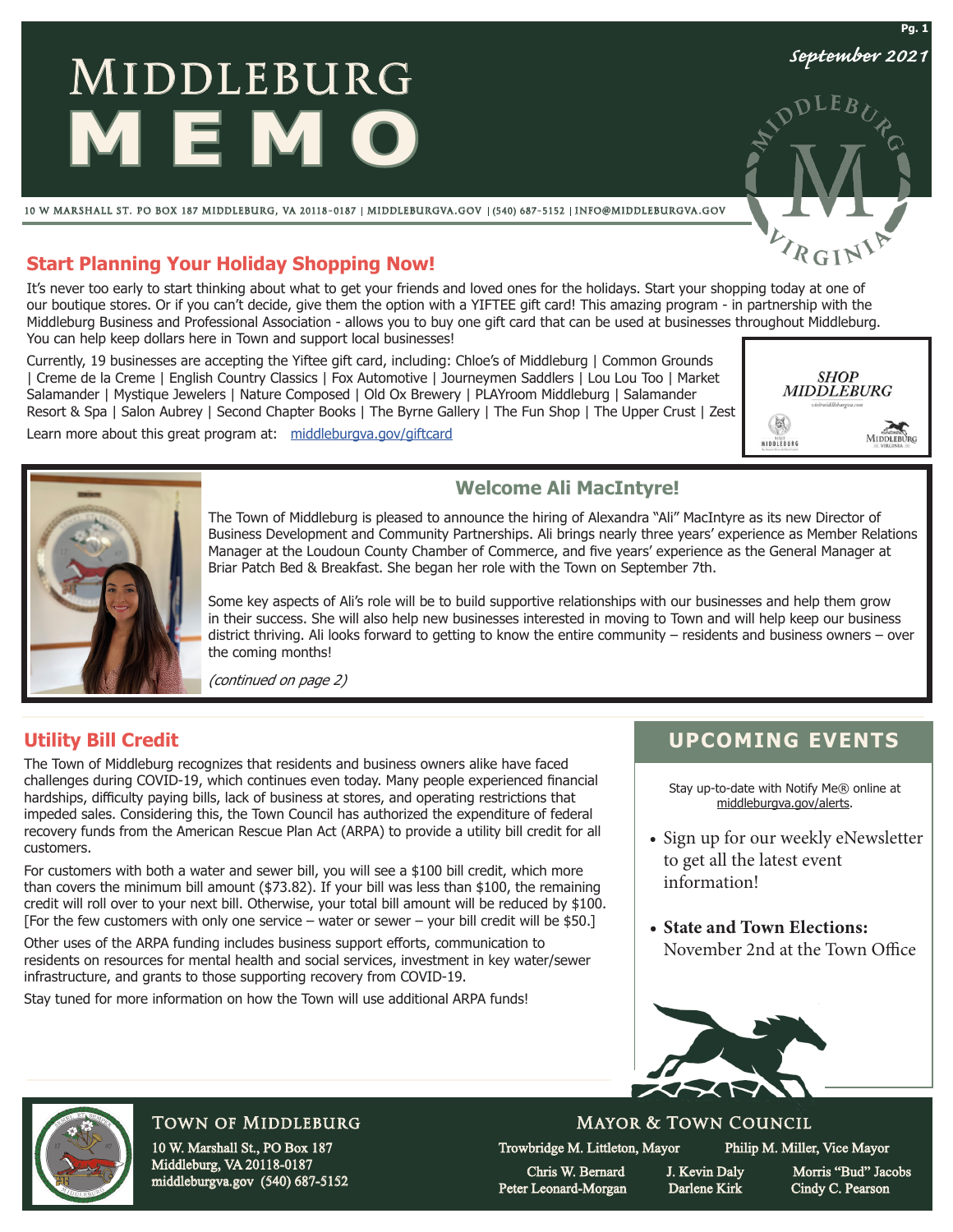# MIDDLEBURG **MEMO**

10 w marshall st. po box 187 middleburg, va 20118-0187 middleburgva.gov (540) 687-5152 info@middleburgva.gov

## **Start Planning Your Holiday Shopping Now!**

It's never too early to start thinking about what to get your friends and loved ones for the holidays. Start your shopping today at one of our boutique stores. Or if you can't decide, give them the option with a YIFTEE gift card! This amazing program - in partnership with the Middleburg Business and Professional Association - allows you to buy one gift card that can be used at businesses throughout Middleburg. You can help keep dollars here in Town and support local businesses!

Currently, 19 businesses are accepting the Yiftee gift card, including: Chloe's of Middleburg | Common Grounds | Creme de la Creme | English Country Classics | Fox Automotive | Journeymen Saddlers | Lou Lou Too | Market Salamander | Mystique Jewelers | Nature Composed | Old Ox Brewery | PLAYroom Middleburg | Salamander Resort & Spa | Salon Aubrey | Second Chapter Books | The Byrne Gallery | The Fun Shop | The Upper Crust | Zest

Learn more about this great program at: middleburgya.gov/giftcard





### **Welcome Ali MacIntyre!**

The Town of Middleburg is pleased to announce the hiring of Alexandra "Ali" MacIntyre as its new Director of Business Development and Community Partnerships. Ali brings nearly three years' experience as Member Relations Manager at the Loudoun County Chamber of Commerce, and five years' experience as the General Manager at Briar Patch Bed & Breakfast. She began her role with the Town on September 7th.

Some key aspects of Ali's role will be to build supportive relationships with our businesses and help them grow in their success. She will also help new businesses interested in moving to Town and will help keep our business district thriving. Ali looks forward to getting to know the entire community – residents and business owners – over the coming months!

(continued on page 2)

## **Utility Bill Credit**

The Town of Middleburg recognizes that residents and business owners alike have faced challenges during COVID-19, which continues even today. Many people experienced financial hardships, difficulty paying bills, lack of business at stores, and operating restrictions that impeded sales. Considering this, the Town Council has authorized the expenditure of federal recovery funds from the American Rescue Plan Act (ARPA) to provide a utility bill credit for all customers.

For customers with both a water and sewer bill, you will see a \$100 bill credit, which more than covers the minimum bill amount (\$73.82). If your bill was less than \$100, the remaining credit will roll over to your next bill. Otherwise, your total bill amount will be reduced by \$100. [For the few customers with only one service – water or sewer – your bill credit will be \$50.]

Other uses of the ARPA funding includes business support efforts, communication to residents on resources for mental health and social services, investment in key water/sewer infrastructure, and grants to those supporting recovery from COVID-19.

Stay tuned for more information on how the Town will use additional ARPA funds!

# **UPCOMING EVENTS**

Stay up-to-date with Notify Me® online at middleburgva.gov/alerts.

- Sign up for our weekly eNewsletter to get all the latest event information!
- State and Town Elections: November 2nd at the Town Office





# Town of Middleburg

10 W. Marshall St., PO Box 187 Middleburg, VA 20118-0187 middleburgva.gov (540) 687-5152 Trowbridge M. Littleton, Mayor Philip M. Miller, Vice Mayor

Mayor & Town Council

 Chris W. Bernard J. Kevin Daly Morris "Bud" Jacobs Peter Leonard-Morgan Darlene Kirk Cindy C. Pearson

*September 2021* **Pg. 1**

EB